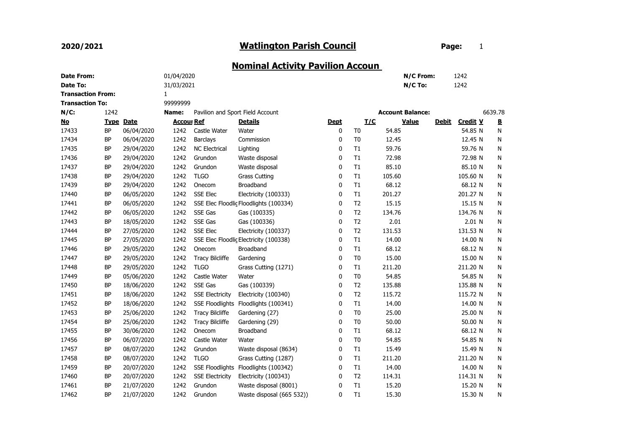## 2020/2021

## Watlington Parish Council **Example 20 Fage:** 1

## Nominal Activity Pavilion Accoun

| <b>Date From:</b>        |           |                  | 01/04/2020        |                        |                                        |              |                |        | N/C From:               |              | 1242            |         |
|--------------------------|-----------|------------------|-------------------|------------------------|----------------------------------------|--------------|----------------|--------|-------------------------|--------------|-----------------|---------|
| Date To:                 |           |                  | 31/03/2021        |                        |                                        |              |                |        | N/C To:                 |              | 1242            |         |
| <b>Transaction From:</b> |           |                  | $\mathbf{1}$      |                        |                                        |              |                |        |                         |              |                 |         |
| <b>Transaction To:</b>   |           |                  | 99999999          |                        |                                        |              |                |        |                         |              |                 |         |
| $N/C$ :                  | 1242      |                  | Name:             |                        | Pavilion and Sport Field Account       |              |                |        | <b>Account Balance:</b> |              |                 | 6639.78 |
| <u>No</u>                |           | <b>Type Date</b> | <b>Accour Ref</b> |                        | <b>Details</b>                         | <b>Dept</b>  | I/C            |        | <b>Value</b>            | <b>Debit</b> | <b>Credit V</b> | B       |
| 17433                    | <b>BP</b> | 06/04/2020       | 1242              | Castle Water           | Water                                  | 0            | T <sub>0</sub> | 54.85  |                         |              | 54.85 N         | N       |
| 17434                    | <b>BP</b> | 06/04/2020       | 1242              | <b>Barclays</b>        | Commission                             | 0            | T <sub>0</sub> | 12.45  |                         |              | 12.45 N         | N       |
| 17435                    | <b>BP</b> | 29/04/2020       | 1242              | <b>NC Electrical</b>   | Lighting                               | 0            | T1             | 59.76  |                         |              | 59.76 N         | N       |
| 17436                    | <b>BP</b> | 29/04/2020       | 1242              | Grundon                | Waste disposal                         | 0            | T1             | 72.98  |                         |              | 72.98 N         | N       |
| 17437                    | <b>BP</b> | 29/04/2020       | 1242              | Grundon                | Waste disposal                         | 0            | T1             | 85.10  |                         |              | 85.10 N         | N       |
| 17438                    | <b>BP</b> | 29/04/2020       | 1242              | <b>TLGO</b>            | <b>Grass Cutting</b>                   | 0            | T1             | 105.60 |                         |              | 105.60 N        | N       |
| 17439                    | <b>BP</b> | 29/04/2020       | 1242              | Onecom                 | Broadband                              | 0            | T1             | 68.12  |                         |              | 68.12 N         | N       |
| 17440                    | <b>BP</b> | 06/05/2020       | 1242              | <b>SSE Elec</b>        | Electricity (100333)                   | 0            | T1             | 201.27 |                         |              | 201.27 N        | N       |
| 17441                    | <b>BP</b> | 06/05/2020       | 1242              |                        | SSE Elec Floodlic Floodlights (100334) | 0            | T <sub>2</sub> | 15.15  |                         |              | 15.15 N         | N       |
| 17442                    | BP        | 06/05/2020       | 1242              | SSE Gas                | Gas (100335)                           | 0            | T2             | 134.76 |                         |              | 134.76 N        | N       |
| 17443                    | <b>BP</b> | 18/05/2020       | 1242              | SSE Gas                | Gas (100336)                           | 0            | T <sub>2</sub> | 2.01   |                         |              | $2.01$ N        | N       |
| 17444                    | BP        | 27/05/2020       | 1242              | SSE Elec               | Electricity (100337)                   | 0            | T <sub>2</sub> | 131.53 |                         |              | 131.53 N        | N       |
| 17445                    | <b>BP</b> | 27/05/2020       | 1242              |                        | SSE Elec Floodlic Electricity (100338) | 0            | T1             | 14.00  |                         |              | 14.00 N         | N       |
| 17446                    | BP        | 29/05/2020       | 1242              | Onecom                 | Broadband                              | 0            | T1             | 68.12  |                         |              | 68.12 N         | N       |
| 17447                    | <b>BP</b> | 29/05/2020       | 1242              | <b>Tracy Bilcliffe</b> | Gardening                              | $\mathbf 0$  | T <sub>0</sub> | 15.00  |                         |              | 15.00 N         | N       |
| 17448                    | <b>BP</b> | 29/05/2020       | 1242              | <b>TLGO</b>            | Grass Cutting (1271)                   | 0            | T1             | 211.20 |                         |              | 211.20 N        | N       |
| 17449                    | <b>BP</b> | 05/06/2020       | 1242              | Castle Water           | Water                                  | 0            | T <sub>0</sub> | 54.85  |                         |              | 54.85 N         | N       |
| 17450                    | <b>BP</b> | 18/06/2020       | 1242              | SSE Gas                | Gas (100339)                           | $\mathbf{0}$ | T <sub>2</sub> | 135.88 |                         |              | 135.88 N        | N       |
| 17451                    | <b>BP</b> | 18/06/2020       | 1242              | <b>SSE Electricity</b> | Electricity (100340)                   | 0            | T2             | 115.72 |                         |              | 115.72 N        | N       |
| 17452                    | <b>BP</b> | 18/06/2020       | 1242              |                        | SSE Floodlights Floodlights (100341)   | 0            | T1             | 14.00  |                         |              | 14.00 N         | N       |
| 17453                    | <b>BP</b> | 25/06/2020       | 1242              | <b>Tracy Bilcliffe</b> | Gardening (27)                         | 0            | T <sub>0</sub> | 25.00  |                         |              | 25.00 N         | N       |
| 17454                    | <b>BP</b> | 25/06/2020       | 1242              | <b>Tracy Bilcliffe</b> | Gardening (29)                         | 0            | T <sub>0</sub> | 50.00  |                         |              | 50.00 N         | N       |
| 17455                    | BP        | 30/06/2020       | 1242              | Onecom                 | Broadband                              | 0            | T1             | 68.12  |                         |              | 68.12 N         | N       |
| 17456                    | <b>BP</b> | 06/07/2020       | 1242              | Castle Water           | Water                                  | 0            | T <sub>0</sub> | 54.85  |                         |              | 54.85 N         | N       |
| 17457                    | <b>BP</b> | 08/07/2020       | 1242              | Grundon                | Waste disposal (8634)                  | 0            | T1             | 15.49  |                         |              | 15.49 N         | N       |
| 17458                    | <b>BP</b> | 08/07/2020       | 1242              | <b>TLGO</b>            | Grass Cutting (1287)                   | 0            | T1             | 211.20 |                         |              | 211.20 N        | N       |
| 17459                    | <b>BP</b> | 20/07/2020       | 1242              | <b>SSE Floodlights</b> | Floodlights (100342)                   | 0            | T1             | 14.00  |                         |              | 14.00 N         | N       |
| 17460                    | <b>BP</b> | 20/07/2020       | 1242              | <b>SSE Electricity</b> | Electricity (100343)                   | 0            | T <sub>2</sub> | 114.31 |                         |              | 114.31 N        | N       |
| 17461                    | <b>BP</b> | 21/07/2020       | 1242              | Grundon                | Waste disposal (8001)                  | 0            | T1             | 15.20  |                         |              | 15.20 N         | N       |
| 17462                    | <b>BP</b> | 21/07/2020       | 1242              | Grundon                | Waste disposal (665 532))              | 0            | T1             | 15.30  |                         |              | 15.30 N         | N       |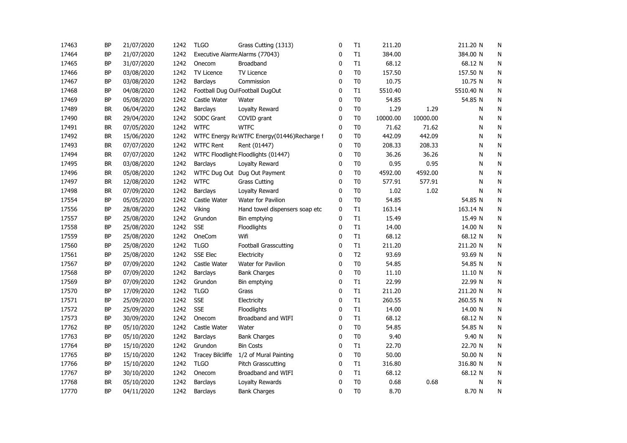| 17463 | ΒP        | 21/07/2020 | 1242 | <b>TLGO</b>                     | Grass Cutting (1313)                        | 0 | T1             | 211.20   |          | 211.20 N  | N |
|-------|-----------|------------|------|---------------------------------|---------------------------------------------|---|----------------|----------|----------|-----------|---|
| 17464 | BP        | 21/07/2020 | 1242 | Executive Alarms Alarms (77043) |                                             | 0 | T1             | 384.00   |          | 384.00 N  | N |
| 17465 | BP        | 31/07/2020 | 1242 | Onecom                          | Broadband                                   | 0 | T1             | 68.12    |          | 68.12 N   | N |
| 17466 | <b>BP</b> | 03/08/2020 | 1242 | TV Licence                      | <b>TV Licence</b>                           | 0 | T <sub>0</sub> | 157.50   |          | 157.50 N  | N |
| 17467 | <b>BP</b> | 03/08/2020 | 1242 | Barclays                        | Commission                                  | 0 | T <sub>0</sub> | 10.75    |          | 10.75 N   | N |
| 17468 | <b>BP</b> | 04/08/2020 | 1242 |                                 | Football Dug Out Football DugOut            | 0 | T1             | 5510.40  |          | 5510.40 N | N |
| 17469 | <b>BP</b> | 05/08/2020 | 1242 | Castle Water                    | Water                                       | 0 | T <sub>0</sub> | 54.85    |          | 54.85 N   | N |
| 17489 | <b>BR</b> | 06/04/2020 | 1242 | <b>Barclays</b>                 | Loyalty Reward                              | 0 | T <sub>0</sub> | 1.29     | 1.29     | N         | N |
| 17490 | BR        | 29/04/2020 | 1242 | <b>SODC Grant</b>               | COVID grant                                 | 0 | T <sub>0</sub> | 10000.00 | 10000.00 | N         | N |
| 17491 | BR        | 07/05/2020 | 1242 | <b>WTFC</b>                     | <b>WTFC</b>                                 | 0 | T <sub>0</sub> | 71.62    | 71.62    | N         | N |
| 17492 | BR        | 15/06/2020 | 1242 |                                 | WTFC Energy Re WTFC Energy(01446)Recharge f | 0 | T <sub>0</sub> | 442.09   | 442.09   | N         | N |
| 17493 | BR        | 07/07/2020 | 1242 | <b>WTFC Rent</b>                | Rent (01447)                                | 0 | T <sub>0</sub> | 208.33   | 208.33   | N         | N |
| 17494 | BR        | 07/07/2020 | 1242 |                                 | WTFC Floodlight Floodlights (01447)         | 0 | T <sub>0</sub> | 36.26    | 36.26    | N         | N |
| 17495 | BR        | 03/08/2020 | 1242 | <b>Barclays</b>                 | Loyalty Reward                              | 0 | T <sub>0</sub> | 0.95     | 0.95     | N         | N |
| 17496 | <b>BR</b> | 05/08/2020 | 1242 |                                 | WTFC Dug Out Dug Out Payment                | 0 | T <sub>0</sub> | 4592.00  | 4592.00  | N         | N |
| 17497 | <b>BR</b> | 12/08/2020 | 1242 | <b>WTFC</b>                     | <b>Grass Cutting</b>                        | 0 | T <sub>0</sub> | 577.91   | 577.91   | N         | N |
| 17498 | <b>BR</b> | 07/09/2020 | 1242 | Barclays                        | Loyalty Reward                              | 0 | T <sub>0</sub> | 1.02     | 1.02     | N         | N |
| 17554 | BP        | 05/05/2020 | 1242 | Castle Water                    | Water for Pavilion                          | 0 | T <sub>0</sub> | 54.85    |          | 54.85 N   | N |
| 17556 | BP        | 28/08/2020 | 1242 | Viking                          | Hand towel dispensers soap etc              | 0 | T1             | 163.14   |          | 163.14 N  | N |
| 17557 | <b>BP</b> | 25/08/2020 | 1242 | Grundon                         | Bin emptying                                | 0 | T1             | 15.49    |          | 15.49 N   | N |
| 17558 | BP        | 25/08/2020 | 1242 | <b>SSE</b>                      | Floodlights                                 | 0 | T1             | 14.00    |          | 14.00 N   | N |
| 17559 | <b>BP</b> | 25/08/2020 | 1242 | OneCom                          | Wifi                                        | 0 | T1             | 68.12    |          | 68.12 N   | N |
| 17560 | <b>BP</b> | 25/08/2020 | 1242 | <b>TLGO</b>                     | <b>Football Grasscutting</b>                | 0 | T1             | 211.20   |          | 211.20 N  | N |
| 17561 | <b>BP</b> | 25/08/2020 | 1242 | <b>SSE Elec</b>                 | Electricity                                 | 0 | T <sub>2</sub> | 93.69    |          | 93.69 N   | N |
| 17567 | <b>BP</b> | 07/09/2020 | 1242 | Castle Water                    | Water for Pavilion                          | 0 | T <sub>0</sub> | 54.85    |          | 54.85 N   | N |
| 17568 | BP        | 07/09/2020 | 1242 | Barclays                        | <b>Bank Charges</b>                         | 0 | T <sub>0</sub> | 11.10    |          | 11.10 N   | N |
| 17569 | BP        | 07/09/2020 | 1242 | Grundon                         | Bin emptying                                | 0 | T1             | 22.99    |          | 22.99 N   | N |
| 17570 | <b>BP</b> | 17/09/2020 | 1242 | <b>TLGO</b>                     | Grass                                       | 0 | T1             | 211.20   |          | 211.20 N  | N |
| 17571 | <b>BP</b> | 25/09/2020 | 1242 | <b>SSE</b>                      | Electricity                                 | 0 | T1             | 260.55   |          | 260.55 N  | N |
| 17572 | <b>BP</b> | 25/09/2020 | 1242 | <b>SSE</b>                      | Floodlights                                 | 0 | T1             | 14.00    |          | 14.00 N   | N |
| 17573 | <b>BP</b> | 30/09/2020 | 1242 | Onecom                          | Broadband and WIFI                          | 0 | T1             | 68.12    |          | 68.12 N   | N |
| 17762 | <b>BP</b> | 05/10/2020 | 1242 | Castle Water                    | Water                                       | 0 | T <sub>0</sub> | 54.85    |          | 54.85 N   | N |
| 17763 | <b>BP</b> | 05/10/2020 | 1242 | Barclays                        | <b>Bank Charges</b>                         | 0 | T <sub>0</sub> | 9.40     |          | 9.40 N    | N |
| 17764 | <b>BP</b> | 15/10/2020 | 1242 | Grundon                         | <b>Bin Costs</b>                            | 0 | T1             | 22.70    |          | 22.70 N   | N |
| 17765 | <b>BP</b> | 15/10/2020 | 1242 | <b>Tracey Bilcliffe</b>         | 1/2 of Mural Painting                       | 0 | T <sub>0</sub> | 50.00    |          | 50.00 N   | N |
| 17766 | <b>BP</b> | 15/10/2020 | 1242 | <b>TLGO</b>                     | <b>Pitch Grasscutting</b>                   | 0 | T1             | 316.80   |          | 316.80 N  | N |
| 17767 | <b>BP</b> | 30/10/2020 | 1242 | Onecom                          | Broadband and WIFI                          | 0 | T1             | 68.12    |          | 68.12 N   | N |
| 17768 | BR        | 05/10/2020 | 1242 | Barclays                        | Loyalty Rewards                             | 0 | T <sub>0</sub> | 0.68     | 0.68     | N         | N |
| 17770 | <b>BP</b> | 04/11/2020 | 1242 | <b>Barclays</b>                 | <b>Bank Charges</b>                         | 0 | T <sub>0</sub> | 8.70     |          | 8.70 N    | Ν |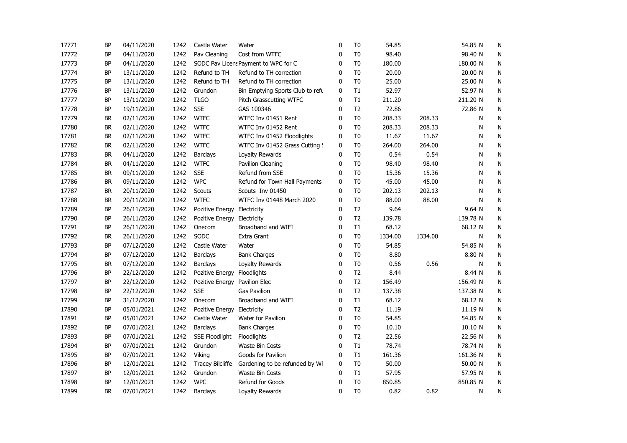| 17771 | BP        | 04/11/2020 | 1242 | Castle Water                  | Water                                | 0        | T <sub>0</sub> | 54.85   |         | 54.85 N  | N         |
|-------|-----------|------------|------|-------------------------------|--------------------------------------|----------|----------------|---------|---------|----------|-----------|
| 17772 | BP        | 04/11/2020 | 1242 | Pav Cleaning                  | Cost from WTFC                       | 0        | T <sub>0</sub> | 98.40   |         | 98.40 N  | N         |
| 17773 | BP        | 04/11/2020 | 1242 |                               | SODC Pav Licens Payment to WPC for C | 0        | T <sub>0</sub> | 180.00  |         | 180.00 N | N         |
| 17774 | BP        | 13/11/2020 | 1242 | Refund to TH                  | Refund to TH correction              | 0        | T <sub>0</sub> | 20.00   |         | 20.00 N  | N         |
| 17775 | BP        | 13/11/2020 | 1242 | Refund to TH                  | Refund to TH correction              | 0        | T <sub>0</sub> | 25.00   |         | 25.00 N  | N         |
| 17776 | BP        | 13/11/2020 | 1242 | Grundon                       | Bin Emptying Sports Club to refu     | 0        | T1             | 52.97   |         | 52.97 N  | N         |
| 17777 | BP        | 13/11/2020 | 1242 | <b>TLGO</b>                   | Pitch Grasscutting WTFC              | 0        | T1             | 211.20  |         | 211.20 N | N         |
| 17778 | BP        | 19/11/2020 | 1242 | <b>SSE</b>                    | GAS 100346                           | 0        | T <sub>2</sub> | 72.86   |         | 72.86 N  | N         |
| 17779 | BR        | 02/11/2020 | 1242 | <b>WTFC</b>                   | WTFC Inv 01451 Rent                  | 0        | T <sub>0</sub> | 208.33  | 208.33  | N        | N         |
| 17780 | <b>BR</b> | 02/11/2020 | 1242 | <b>WTFC</b>                   | WTFC Inv 01452 Rent                  | 0        | T <sub>0</sub> | 208.33  | 208.33  | N        | ${\sf N}$ |
| 17781 | <b>BR</b> | 02/11/2020 | 1242 | <b>WTFC</b>                   | WTFC Inv 01452 Floodlights           | 0        | T <sub>0</sub> | 11.67   | 11.67   | N        | ${\sf N}$ |
| 17782 | <b>BR</b> | 02/11/2020 | 1242 | <b>WTFC</b>                   | WTFC Inv 01452 Grass Cutting 9       | 0        | T <sub>0</sub> | 264.00  | 264.00  | N        | ${\sf N}$ |
| 17783 | <b>BR</b> | 04/11/2020 | 1242 | Barclays                      | Loyalty Rewards                      | 0        | T <sub>0</sub> | 0.54    | 0.54    | N        | N         |
| 17784 | <b>BR</b> | 04/11/2020 | 1242 | <b>WTFC</b>                   | Pavilion Cleaning                    | 0        | T <sub>0</sub> | 98.40   | 98.40   | N        | N         |
| 17785 | <b>BR</b> | 09/11/2020 | 1242 | <b>SSE</b>                    | Refund from SSE                      | 0        | T <sub>0</sub> | 15.36   | 15.36   | N        | N         |
| 17786 | BR        | 09/11/2020 | 1242 | <b>WPC</b>                    | Refund for Town Hall Payments        | 0        | T0             | 45.00   | 45.00   | N        | N         |
| 17787 | <b>BR</b> | 20/11/2020 | 1242 | Scouts                        | Scouts Inv 01450                     | 0        | T <sub>0</sub> | 202.13  | 202.13  | N        | N         |
| 17788 | <b>BR</b> | 20/11/2020 | 1242 | <b>WTFC</b>                   | WTFC Inv 01448 March 2020            | $\Omega$ | T <sub>0</sub> | 88.00   | 88.00   | N        | N         |
| 17789 | BP        | 26/11/2020 | 1242 | Pozitive Energy               | Electricity                          | 0        | T <sub>2</sub> | 9.64    |         | 9.64 N   | N         |
| 17790 | BP        | 26/11/2020 | 1242 | Pozitive Energy               | Electricity                          | 0        | T <sub>2</sub> | 139.78  |         | 139.78 N | N         |
| 17791 | BP        | 26/11/2020 | 1242 | Onecom                        | Broadband and WIFI                   | 0        | T1             | 68.12   |         | 68.12 N  | N         |
| 17792 | BR        | 26/11/2020 | 1242 | SODC                          | Extra Grant                          | 0        | T <sub>0</sub> | 1334.00 | 1334.00 | N        | N         |
| 17793 | BP        | 07/12/2020 | 1242 | Castle Water                  | Water                                | 0        | T <sub>0</sub> | 54.85   |         | 54.85 N  | N         |
| 17794 | <b>BP</b> | 07/12/2020 | 1242 | Barclays                      | <b>Bank Charges</b>                  | 0        | T <sub>0</sub> | 8.80    |         | 8.80 N   | N         |
| 17795 | <b>BR</b> | 07/12/2020 | 1242 | <b>Barclays</b>               | Loyalty Rewards                      | 0        | T <sub>0</sub> | 0.56    | 0.56    | N        | N         |
| 17796 | BP        | 22/12/2020 | 1242 | Pozitive Energy Floodlights   |                                      | 0        | T2             | 8.44    |         | 8.44 N   | N         |
| 17797 | BP        | 22/12/2020 | 1242 | Pozitive Energy Pavilion Elec |                                      | 0        | T2             | 156.49  |         | 156.49 N | N         |
| 17798 | BP        | 22/12/2020 | 1242 | <b>SSE</b>                    | <b>Gas Pavilion</b>                  | 0        | T <sub>2</sub> | 137.38  |         | 137.38 N | N         |
| 17799 | BP        | 31/12/2020 | 1242 | Onecom                        | Broadband and WIFI                   | 0        | T1             | 68.12   |         | 68.12 N  | N         |
| 17890 | BP        | 05/01/2021 | 1242 | Pozitive Energy               | Electricity                          | 0        | T <sub>2</sub> | 11.19   |         | 11.19 N  | N         |
| 17891 | <b>BP</b> | 05/01/2021 | 1242 | Castle Water                  | Water for Pavilion                   | 0        | T <sub>0</sub> | 54.85   |         | 54.85 N  | N         |
| 17892 | BP        | 07/01/2021 | 1242 | <b>Barclays</b>               | <b>Bank Charges</b>                  | 0        | T <sub>0</sub> | 10.10   |         | 10.10 N  | N         |
| 17893 | BP        | 07/01/2021 | 1242 | <b>SSE Floodlight</b>         | Floodlights                          | 0        | T <sub>2</sub> | 22.56   |         | 22.56 N  | N         |
| 17894 | BP        | 07/01/2021 | 1242 | Grundon                       | Waste Bin Costs                      | 0        | T1             | 78.74   |         | 78.74 N  | N         |
| 17895 | ΒP        | 07/01/2021 | 1242 | Viking                        | Goods for Pavilion                   | 0        | T1             | 161.36  |         | 161.36 N | N         |
| 17896 | BP        | 12/01/2021 | 1242 | <b>Tracey Bilcliffe</b>       | Gardening to be refunded by WI       | 0        | T <sub>0</sub> | 50.00   |         | 50.00 N  | N         |
| 17897 | BP        | 12/01/2021 | 1242 | Grundon                       | Waste Bin Costs                      | 0        | T1             | 57.95   |         | 57.95 N  | N         |
| 17898 | BP        | 12/01/2021 | 1242 | <b>WPC</b>                    | Refund for Goods                     | 0        | T <sub>0</sub> | 850.85  |         | 850.85 N | N         |
| 17899 | <b>BR</b> | 07/01/2021 | 1242 | <b>Barclays</b>               | Loyalty Rewards                      | 0        | T <sub>0</sub> | 0.82    | 0.82    | N        | N         |